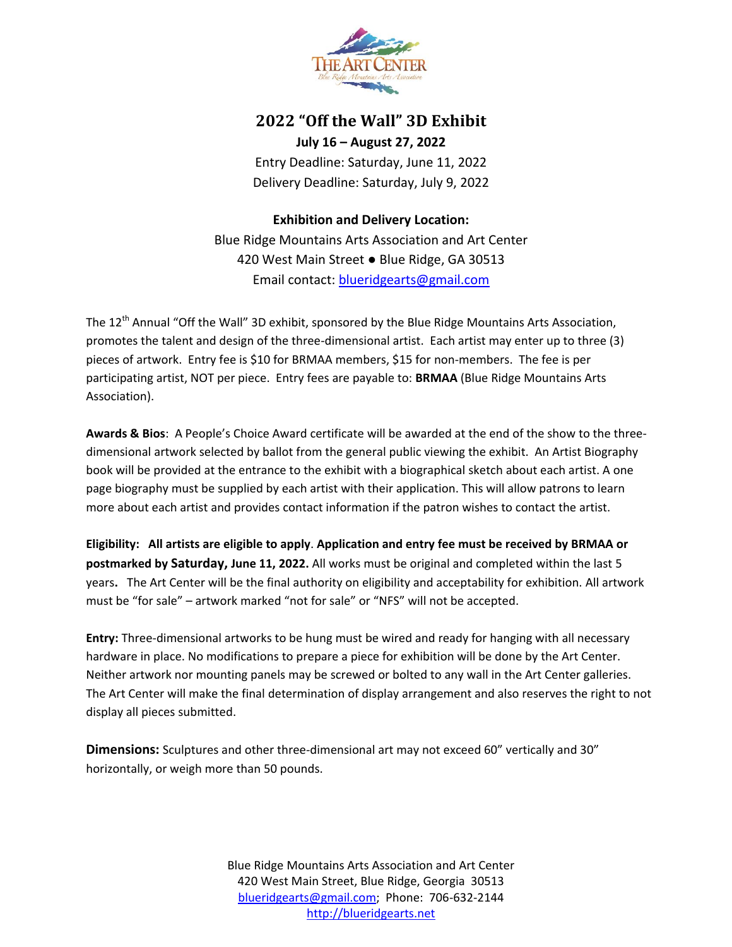

### **2022 "Off the Wall" 3D Exhibit**

**July 16 – August 27, 2022** Entry Deadline: Saturday, June 11, 2022 Delivery Deadline: Saturday, July 9, 2022

**Exhibition and Delivery Location:**

Blue Ridge Mountains Arts Association and Art Center 420 West Main Street ● Blue Ridge, GA 30513 Email contact: [blueridgearts@gmail.com](mailto:blueridgearts@gmail.com)

The 12<sup>th</sup> Annual "Off the Wall" 3D exhibit, sponsored by the Blue Ridge Mountains Arts Association, promotes the talent and design of the three-dimensional artist. Each artist may enter up to three (3) pieces of artwork. Entry fee is \$10 for BRMAA members, \$15 for non-members. The fee is per participating artist, NOT per piece. Entry fees are payable to: **BRMAA** (Blue Ridge Mountains Arts Association).

**Awards & Bios**: A People's Choice Award certificate will be awarded at the end of the show to the threedimensional artwork selected by ballot from the general public viewing the exhibit. An Artist Biography book will be provided at the entrance to the exhibit with a biographical sketch about each artist. A one page biography must be supplied by each artist with their application. This will allow patrons to learn more about each artist and provides contact information if the patron wishes to contact the artist.

**Eligibility: All artists are eligible to apply**. **Application and entry fee must be received by BRMAA or postmarked by Saturday, June 11, 2022.** All works must be original and completed within the last 5 years**.** The Art Center will be the final authority on eligibility and acceptability for exhibition. All artwork must be "for sale" – artwork marked "not for sale" or "NFS" will not be accepted.

**Entry:** Three-dimensional artworks to be hung must be wired and ready for hanging with all necessary hardware in place. No modifications to prepare a piece for exhibition will be done by the Art Center. Neither artwork nor mounting panels may be screwed or bolted to any wall in the Art Center galleries. The Art Center will make the final determination of display arrangement and also reserves the right to not display all pieces submitted.

**Dimensions:** Sculptures and other three-dimensional art may not exceed 60" vertically and 30" horizontally, or weigh more than 50 pounds.

> Blue Ridge Mountains Arts Association and Art Center 420 West Main Street, Blue Ridge, Georgia 30513 [blueridgearts@gmail.com;](mailto:blueridgearts@gmail.com) Phone: 706-632-2144 [http://blueridgearts.net](http://blueridgearts.net/)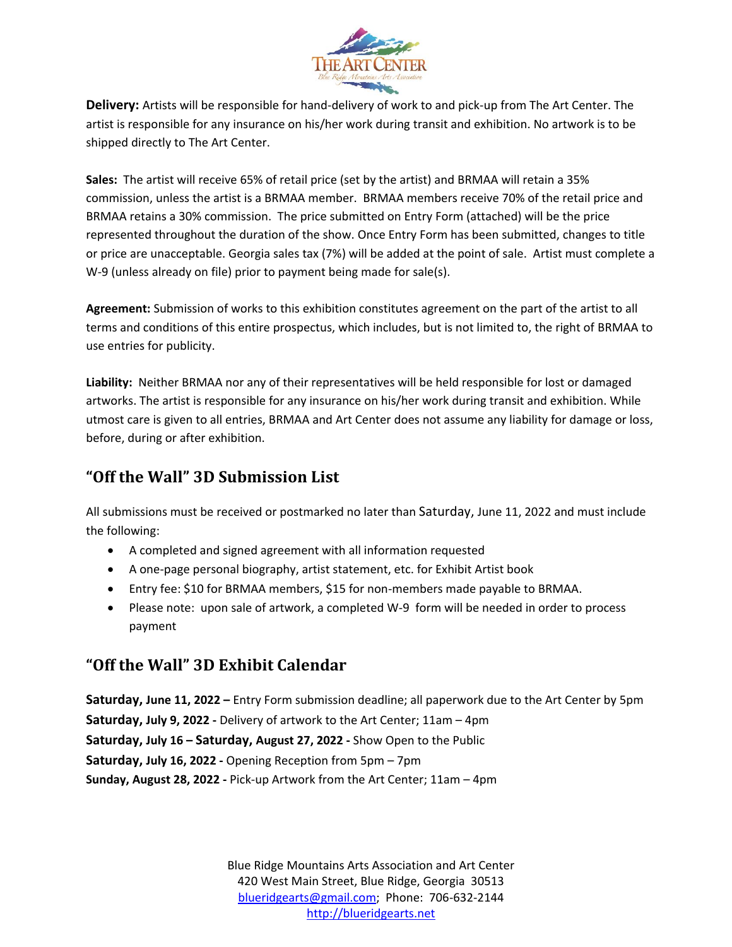

**Delivery:** Artists will be responsible for hand-delivery of work to and pick-up from The Art Center. The artist is responsible for any insurance on his/her work during transit and exhibition. No artwork is to be shipped directly to The Art Center.

**Sales:** The artist will receive 65% of retail price (set by the artist) and BRMAA will retain a 35% commission, unless the artist is a BRMAA member. BRMAA members receive 70% of the retail price and BRMAA retains a 30% commission. The price submitted on Entry Form (attached) will be the price represented throughout the duration of the show. Once Entry Form has been submitted, changes to title or price are unacceptable. Georgia sales tax (7%) will be added at the point of sale. Artist must complete a W-9 (unless already on file) prior to payment being made for sale(s).

**Agreement:** Submission of works to this exhibition constitutes agreement on the part of the artist to all terms and conditions of this entire prospectus, which includes, but is not limited to, the right of BRMAA to use entries for publicity.

**Liability:** Neither BRMAA nor any of their representatives will be held responsible for lost or damaged artworks. The artist is responsible for any insurance on his/her work during transit and exhibition. While utmost care is given to all entries, BRMAA and Art Center does not assume any liability for damage or loss, before, during or after exhibition.

# **"Off the Wall" 3D Submission List**

All submissions must be received or postmarked no later than Saturday, June 11, 2022 and must include the following:

- A completed and signed agreement with all information requested
- A one-page personal biography, artist statement, etc. for Exhibit Artist book
- Entry fee: \$10 for BRMAA members, \$15 for non-members made payable to BRMAA.
- Please note: upon sale of artwork, a completed W-9 form will be needed in order to process payment

## **"Off the Wall" 3D Exhibit Calendar**

**Saturday, June 11, 2022 –** Entry Form submission deadline; all paperwork due to the Art Center by 5pm **Saturday, July 9, 2022 -** Delivery of artwork to the Art Center; 11am – 4pm **Saturday, July 16 – Saturday, August 27, 2022 -** Show Open to the Public **Saturday, July 16, 2022 -** Opening Reception from 5pm – 7pm **Sunday, August 28, 2022 -** Pick-up Artwork from the Art Center; 11am – 4pm

> Blue Ridge Mountains Arts Association and Art Center 420 West Main Street, Blue Ridge, Georgia 30513 [blueridgearts@gmail.com;](mailto:blueridgearts@gmail.com) Phone: 706-632-2144 [http://blueridgearts.net](http://blueridgearts.net/)